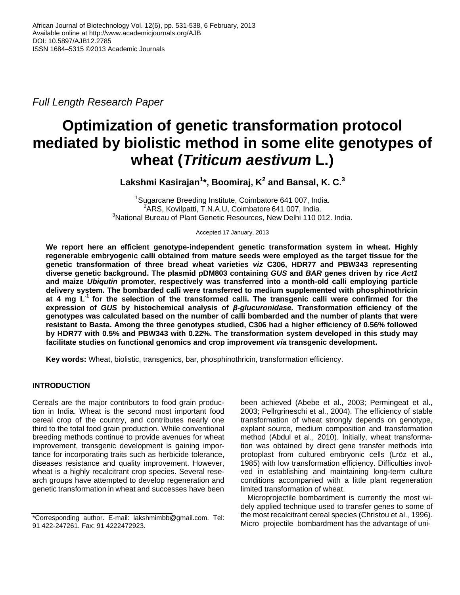*Full Length Research Paper*

# **Optimization of genetic transformation protocol mediated by biolistic method in some elite genotypes of wheat (***Triticum aestivum* **L.)**

**Lakshmi Kasirajan<sup>1</sup> \*, Boomiraj, K 2 and Bansal, K. C. 3**

<sup>1</sup>Sugarcane Breeding Institute, Coimbatore 641 007, India. <sup>2</sup>ARS, Kovilpatti, T.N.A.U, Coimbatore 641 007, India. <sup>3</sup>National Bureau of Plant Genetic Resources, New Delhi 110 012. India.

Accepted 17 January, 2013

**We report here an efficient genotype-independent genetic transformation system in wheat. Highly regenerable embryogenic calli obtained from mature seeds were employed as the target tissue for the genetic transformation of three bread wheat varieties** *viz* **C306, HDR77 and PBW343 representing diverse genetic background. The plasmid pDM803 containing** *GUS* **and** *BAR* **genes driven by rice** *Act1* **and maize** *Ubiqutin* **promoter, respectively was transferred into a month-old calli employing particle delivery system. The bombarded calli were transferred to medium supplemented with phosphinothricin at 4 mg L-1 for the selection of the transformed calli. The transgenic calli were confirmed for the expression of** *GUS* **by histochemical analysis of** *β-glucuronidase.* **Transformation efficiency of the genotypes was calculated based on the number of calli bombarded and the number of plants that were resistant to Basta. Among the three genotypes studied, C306 had a higher efficiency of 0.56% followed by HDR77 with 0.5% and PBW343 with 0.22%. The transformation system developed in this study may facilitate studies on functional genomics and crop improvement** *via* **transgenic development.**

**Key words:** Wheat, biolistic, transgenics, bar, phosphinothricin, transformation efficiency.

# **INTRODUCTION**

Cereals are the major contributors to food grain production in India. Wheat is the second most important food cereal crop of the country, and contributes nearly one third to the total food grain production. While conventional breeding methods continue to provide avenues for wheat improvement, transgenic development is gaining importance for incorporating traits such as herbicide tolerance, diseases resistance and quality improvement. However, wheat is a highly recalcitrant crop species. Several research groups have attempted to develop regeneration and genetic transformation in wheat and successes have been

been achieved (Abebe et al., 2003; Permingeat et al., 2003; Pellrgrineschi et al., 2004). The efficiency of stable transformation of wheat strongly depends on genotype, explant source, medium composition and transformation method (Abdul et al., 2010). Initially, wheat transformation was obtained by direct gene transfer methods into protoplast from cultured embryonic cells (Lröz et al., 1985) with low transformation efficiency. Difficulties involved in establishing and maintaining long-term culture conditions accompanied with a little plant regeneration limited transformation of wheat.

Microprojectile bombardment is currently the most widely applied technique used to transfer genes to some of the most recalcitrant cereal species (Christou et al., 1996). Micro projectile bombardment has the advantage of uni-

<sup>\*</sup>Corresponding author. E-mail: lakshmimbb@gmail.com. Tel: 91 422-247261. Fax: 91 4222472923.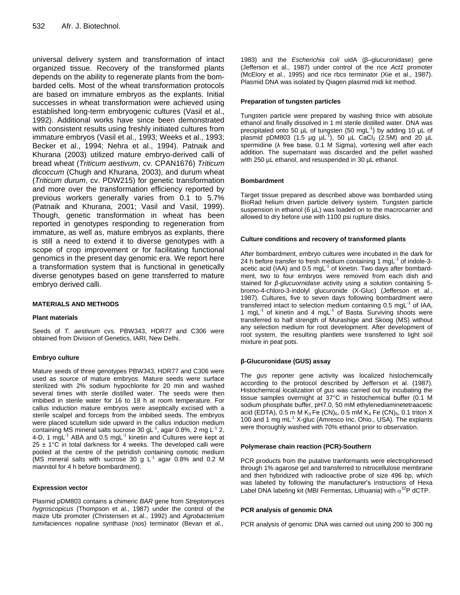universal delivery system and transformation of intact organized tissue. Recovery of the transformed plants depends on the ability to regenerate plants from the bombarded cells. Most of the wheat transformation protocols are based on immature embryos as the explants. Initial successes in wheat transformation were achieved using established long-term embryogenic cultures (Vasil et al., 1992). Additional works have since been demonstrated with consistent results using freshly initiated cultures from immature embryos (Vasil et al., 1993; Weeks et al., 1993; Becker et al., 1994; Nehra et al., 1994). Patnaik and Khurana (2003) utilized mature embryo-derived calli of bread wheat (*Triticum aestivum*, cv. CPAN1676) *Triticum dicoccum* (Chugh and Khurana, 2003), and durum wheat (*Triticum durum*, cv. PDW215) for genetic transformation and more over the transformation efficiency reported by previous workers generally varies from 0.1 to 5.7% (Patnaik and Khurana, 2001; Vasil and Vasil, 1999). Though, genetic transformation in wheat has been reported in genotypes responding to regeneration from immature, as well as, mature embryos as explants, there is still a need to extend it to diverse genotypes with a scope of crop improvement or for facilitating functional genomics in the present day genomic era. We report here a transformation system that is functional in genetically diverse genotypes based on gene transferred to mature embryo derived calli.

#### **MATERIALS AND METHODS**

#### **Plant materials**

Seeds of *T. aestivum* cvs. PBW343, HDR77 and C306 were obtained from Division of Genetics, IARI, New Delhi.

#### **Embryo culture**

Mature seeds of three genotypes PBW343, HDR77 and C306 were used as source of mature embryos. Mature seeds were surface sterilized with 2% sodium hypochlorite for 20 min and washed several times with sterile distilled water. The seeds were then imbibed in sterile water for 16 to 18 h at room temperature. For callus induction mature embryos were aseptically excised with a sterile scalpel and forceps from the imbibed seeds. The embryos were placed scutellum side upward in the callus induction medium containing MS mineral salts sucrose 30 gL<sup>-1</sup>, agar 0.8%, 2 mg L<sup>-1</sup> 2, 4-D, 1 mgL $^{-1}$  ABA and 0.5 mgL $^{-1}$  kinetin and Cultures were kept at  $25 \pm 1^{\circ}$ C in total darkness for 4 weeks. The developed calli were pooled at the centre of the petridish containing osmotic medium (MS mineral salts with sucrose 30 g L<sup>-1</sup> agar 0.8% and 0.2 M mannitol for 4 h before bombardment).

#### **Expression vector**

Plasmid pDM803 contains a chimeric *BAR* gene from *Streptomyces hygroscopicus* (Thompson et al., 1987) under the control of the maize Ubi promoter (Christensen et al., 1992) and *Agrobacterium tumifaciences* nopaline synthase (nos) terminator (Bevan et al.,

1983) and the *Escherichia coli* uidA (β–glucuronidase) gene (Jefferson et al., 1987) under control of the rice *Act1* promoter (McElory et al., 1995) and rice rbcs terminator (Xie et al., 1987). Plasmid DNA was isolated by Qiagen plasmid midi kit method.

#### **Preparation of tungsten particles**

Tungsten particle were prepared by washing thrice with absolute ethanol and finally dissolved in 1 ml sterile distilled water. DNA was precipitated onto 50  $\mu$ L of tungsten (50 mgL<sup>-1</sup>) by adding 10  $\mu$ L of plasmid pDM803 (1.5 µg µL<sup>-1</sup>), 50 µL CaCl<sub>2</sub> (2.5M) and 20 µL spermidine (λ free base, 0.1 M Sigma), vortexing well after each addition. The supernatant was discarded and the pellet washed with 250 µL ethanol, and resuspended in 30 µL ethanol.

#### **Bombardment**

Target tissue prepared as described above was bombarded using BioRad helium driven particle delivery system. Tungsten particle suspension in ethanol (6 µL) was loaded on to the macrocarrier and allowed to dry before use with 1100 psi rupture disks.

#### **Culture conditions and recovery of transformed plants**

After bombardment, embryo cultures were incubated in the dark for 24 h before transfer to fresh medium containing 1 mgL $^{-1}$  of indole-3acetic acid (IAA) and 0.5 mgL<sup>-1</sup> of kinetin. Two days after bombardment, two to four embryos were removed from each dish and stained for *β-glucuornidase* activity using a solution containing 5 bromo-4-chloro-3-indolyl glucuronide (X-Gluc) (Jefferson et al., 1987). Cultures, five to seven days following bombardment were transferred intact to selection medium containing 0.5 mgL<sup>-1</sup> of IAA, 1 mgL<sup>-1</sup> of kinetin and 4 mgL<sup>-1</sup> of Basta. Surviving shoots were transferred to half strength of Murashige and Skoog (MS) without any selection medium for root development. After development of root system, the resulting plantlets were transferred to light soil mixture in peat pots.

#### **β-Glucuronidase (GUS) assay**

The *gus* reporter gene activity was localized histochemically according to the protocol described by Jefferson et al. (1987)*.* Histochemical localization of *gus* was carried out by incubating the tissue samples overnight at 37°C in histochemical buffer (0.1 M sodium phosphate buffer, pH7.0, 50 mM ethylenediaminetetraacetic acid (EDTA), 0.5 m M K<sub>3</sub> Fe (CN)<sub>6</sub>, 0.5 mM K<sub>4</sub> Fe (CN)<sub>6</sub>, 0.1 triton X 100 and 1 mg mL<sup>-1</sup> X-gluc (Amresco Inc. Ohio., USA). The explants were thoroughly washed with 70% ethanol prior to observation.

#### **Polymerase chain reaction (PCR)-Southern**

PCR products from the putative tranformants were electrophoresed through 1% agarose gel and transferred to nitrocellulose membrane and then hybridized with radioactive probe of size 496 bp, which was labeled by following the manufacturer's instructions of Hexa Label DNA labeling kit (MBI Fermentas, Lithuania) with  $\alpha^{32}$ P dCTP.

#### **PCR analysis of genomic DNA**

PCR analysis of genomic DNA was carried out using 200 to 300 ng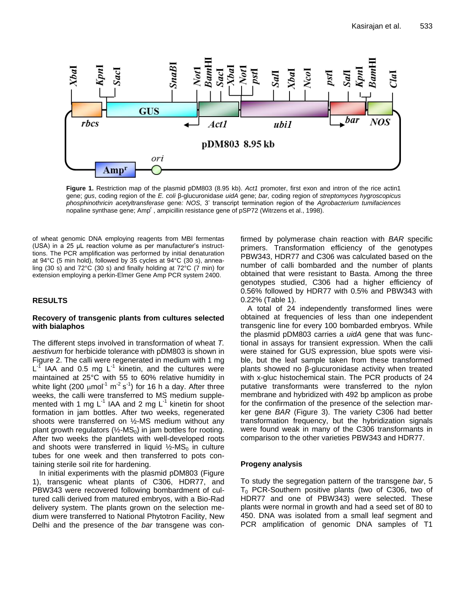

**Figure 1.** Restriction map of the plasmid pDM803 (8.95 kb). *Act1* promoter, first exon and intron of the rice actin1 gene; *gus*, coding region of the *E. coli* β-glucuronidase *uidA* gene; *bar,* coding region of *streptomyces hygroscopicus phosphinothricin acetyltransferase* gene*: NOS*, 3' transcript termination region of the *Agrobacterium tumifaciences* nopaline synthase gene; Amp<sup>r</sup>, ampicillin resistance gene of pSP72 (Witrzens et al., 1998).

of wheat genomic DNA employing reagents from MBI fermentas (USA) in a 25 µL reaction volume as per manufacturer's instructtions. The PCR amplification was performed by initial denaturation at 94°C (5 min hold), followed by 35 cycles at 94°C (30 s), annealing (30 s) and 72°C (30 s) and finally holding at 72°C (7 min) for extension employing a perkin-Elmer Gene Amp PCR system 2400.

# **RESULTS**

## **Recovery of transgenic plants from cultures selected with bialaphos**

The different steps involved in transformation of wheat *T. aestivum* for herbicide tolerance with pDM803 is shown in Figure 2. The calli were regenerated in medium with 1 mg  $L<sup>-1</sup>$  IAA and 0.5 mg  $L<sup>-1</sup>$  kinetin, and the cultures were maintained at 25°C with 55 to 60% relative humidity in white light (200  $\mu$ mol<sup>-1</sup> m<sup>-2</sup> s<sup>-1</sup>) for 16 h a day. After three weeks, the calli were transferred to MS medium supplemented with 1 mg  $L^{-1}$  IAA and 2 mg  $L^{-1}$  kinetin for shoot formation in jam bottles. After two weeks, regenerated shoots were transferred on ½-MS medium without any plant growth regulators ( $\frac{1}{2}$ -MS<sub>0</sub>) in jam bottles for rooting. After two weeks the plantlets with well-developed roots and shoots were transferred in liquid  $\frac{1}{2}$ -MS<sub>0</sub> in culture tubes for one week and then transferred to pots containing sterile soil rite for hardening.

In initial experiments with the plasmid pDM803 (Figure 1), transgenic wheat plants of C306, HDR77, and PBW343 were recovered following bombardment of cultured calli derived from matured embryos, with a Bio-Rad delivery system. The plants grown on the selection medium were transferred to National Phytotron Facility, New Delhi and the presence of the *bar* transgene was confirmed by polymerase chain reaction with *BAR* specific primers. Transformation efficiency of the genotypes PBW343, HDR77 and C306 was calculated based on the number of calli bombarded and the number of plants obtained that were resistant to Basta. Among the three genotypes studied, C306 had a higher efficiency of 0.56% followed by HDR77 with 0.5% and PBW343 with 0.22% (Table 1).

A total of 24 independently transformed lines were obtained at frequencies of less than one independent transgenic line for every 100 bombarded embryos. While the plasmid pDM803 carries a *uidA* gene that was functional in assays for transient expression. When the calli were stained for GUS expression, blue spots were visible, but the leaf sample taken from these transformed plants showed no β-glucuronidase activity when treated with x-gluc histochemical stain. The PCR products of 24 putative transformants were transferred to the nylon membrane and hybridized with 492 bp amplicon as probe for the confirmation of the presence of the selection marker gene *BAR* (Figure 3). The variety C306 had better transformation frequency, but the hybridization signals were found weak in many of the C306 transformants in comparison to the other varieties PBW343 and HDR77.

# **Progeny analysis**

To study the segregation pattern of the transgene *bar*, 5  $T_0$  PCR-Southern positive plants (two of C306, two of HDR77 and one of PBW343) were selected. These plants were normal in growth and had a seed set of 80 to 450. DNA was isolated from a small leaf segment and PCR amplification of genomic DNA samples of T1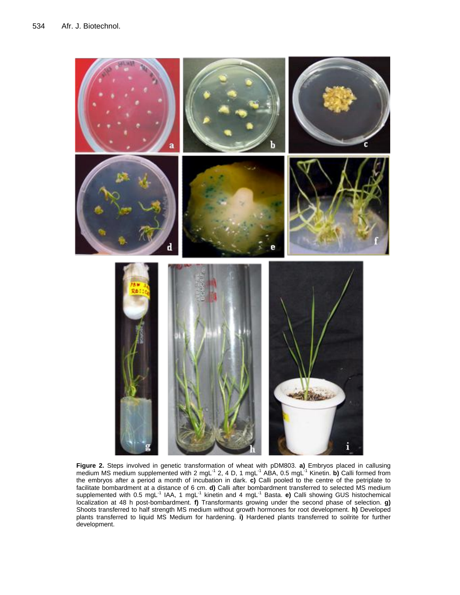

**Figure 2.** Steps involved in genetic transformation of wheat with pDM803. **a)** Embryos placed in callusing medium MS medium supplemented with 2 mgL<sup>-1</sup> 2, 4 D, 1 mgL<sup>-1</sup> ABA, 0.5 mgL<sup>-1</sup> Kinetin. **b)** Calli formed from the embryos after a period a month of incubation in dark. **c)** Calli pooled to the centre of the petriplate to facilitate bombardment at a distance of 6 cm. **d)** Calli after bombardment transferred to selected MS medium supplemented with 0.5 mgL<sup>-1</sup> IAA, 1 mgL<sup>-1</sup> kinetin and 4 mgL<sup>-1</sup> Basta. **e)** Calli showing GUS histochemical localization at 48 h post-bombardment. **f)** Transformants growing under the second phase of selection. **g)** Shoots transferred to half strength MS medium without growth hormones for root development. **h)** Developed plants transferred to liquid MS Medium for hardening. **i)** Hardened plants transferred to soilrite for further development.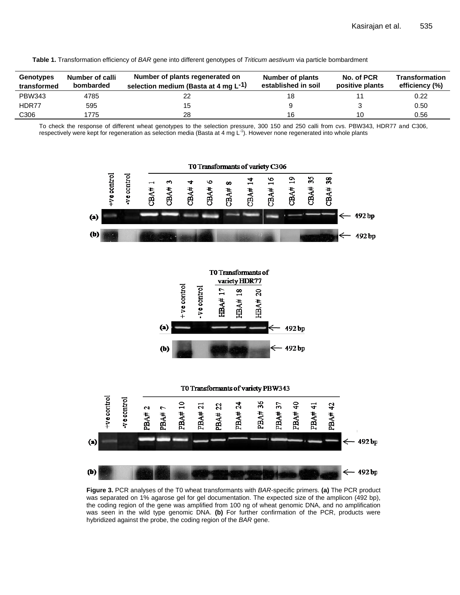**Table 1.** Transformation efficiency of *BAR* gene into different genotypes of *Triticum aestivum* via particle bombardment

| Genotypes<br>transformed | Number of calli<br>bombarded | Number of plants regenerated on<br>selection medium (Basta at 4 mg L <sup>-1)</sup> | Number of plants<br>established in soil | No. of PCR<br>positive plants | <b>Transformation</b><br>efficiency (%) |
|--------------------------|------------------------------|-------------------------------------------------------------------------------------|-----------------------------------------|-------------------------------|-----------------------------------------|
| <b>PBW343</b>            | 4785                         |                                                                                     | 18                                      |                               | 0.22                                    |
| HDR77                    | 595                          | 15                                                                                  |                                         |                               | 0.50                                    |
| C <sub>306</sub>         | 1775                         | 28                                                                                  | 16                                      | 10                            | 0.56                                    |

To check the response of different wheat genotypes to the selection pressure, 300 150 and 250 calli from cvs. PBW343, HDR77 and C306, respectively were kept for regeneration as selection media (Basta at 4 mg L<sup>-1</sup>). However none regenerated into whole plants



**Figure 3.** PCR analyses of the T0 wheat transformants with *BAR*-specific primers. **(a)** The PCR product was separated on 1% agarose gel for gel documentation. The expected size of the amplicon (492 bp), the coding region of the gene was amplified from 100 ng of wheat genomic DNA, and no amplification was seen in the wild type genomic DNA. **(b)** For further confirmation of the PCR, products were hybridized against the probe, the coding region of the *BAR* gene.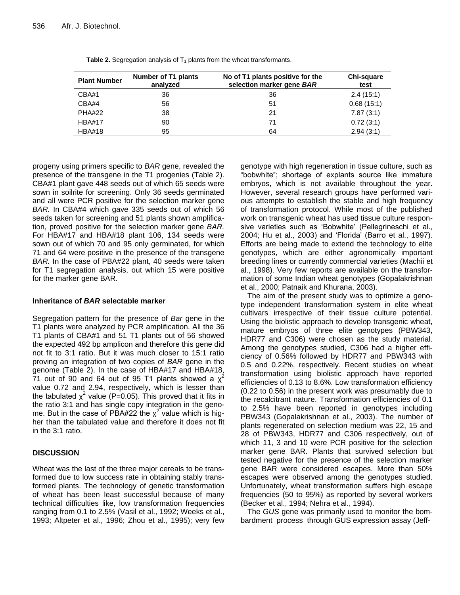| <b>Plant Number</b> | Number of T1 plants<br>analyzed | No of T1 plants positive for the<br>selection marker gene BAR | Chi-square<br>test |
|---------------------|---------------------------------|---------------------------------------------------------------|--------------------|
| CBA#1               | 36                              | 36                                                            | 2.4(15:1)          |
| CBA#4               | 56                              | 51                                                            | 0.68(15:1)         |
| <b>PHA#22</b>       | 38                              | 21                                                            | 7.87(3:1)          |
| <b>HBA#17</b>       | 90                              | 71                                                            | 0.72(3:1)          |
| <b>HBA#18</b>       | 95                              | 64                                                            | 2.94(3:1)          |

**Table 2.** Segregation analysis of T<sub>1</sub> plants from the wheat transformants.

progeny using primers specific to *BAR* gene, revealed the presence of the transgene in the T1 progenies (Table 2). CBA#1 plant gave 448 seeds out of which 65 seeds were sown in soilrite for screening. Only 36 seeds germinated and all were PCR positive for the selection marker gene *BAR.* In CBA#4 which gave 335 seeds out of which 56 seeds taken for screening and 51 plants shown amplification, proved positive for the selection marker gene *BAR.* For HBA#17 and HBA#18 plant 106, 134 seeds were sown out of which 70 and 95 only germinated, for which 71 and 64 were positive in the presence of the transgene *BAR.* In the case of PBA#22 plant, 40 seeds were taken for T1 segregation analysis, out which 15 were positive for the marker gene BAR.

## **Inheritance of** *BAR* **selectable marker**

Segregation pattern for the presence of *Bar* gene in the T1 plants were analyzed by PCR amplification. All the 36 T1 plants of CBA#1 and 51 T1 plants out of 56 showed the expected 492 bp amplicon and therefore this gene did not fit to 3:1 ratio. But it was much closer to 15:1 ratio proving an integration of two copies of *BAR* gene in the genome (Table 2). In the case of HBA#17 and HBA#18, 71 out of 90 and 64 out of 95 T1 plants showed a  $\chi^2$ value 0.72 and 2.94, respectively, which is lesser than the tabulated  $\chi^2$  value (P=0.05). This proved that it fits in the ratio 3:1 and has single copy integration in the genome. But in the case of PBA#22 the  $\chi^2$  value which is higher than the tabulated value and therefore it does not fit in the 3:1 ratio.

# **DISCUSSION**

Wheat was the last of the three major cereals to be transformed due to low success rate in obtaining stably transformed plants. The technology of genetic transformation of wheat has been least successful because of many technical difficulties like, low transformation frequencies ranging from 0.1 to 2.5% (Vasil et al., 1992; Weeks et al., 1993; Altpeter et al., 1996; Zhou et al., 1995); very few genotype with high regeneration in tissue culture, such as "bobwhite"; shortage of explants source like immature embryos, which is not available throughout the year. However, several research groups have performed various attempts to establish the stable and high frequency of transformation protocol. While most of the published work on transgenic wheat has used tissue culture responsive varieties such as 'Bobwhite' (Pellegrineschi et al., 2004; Hu et al., 2003) and 'Florida' (Barro et al., 1997). Efforts are being made to extend the technology to elite genotypes, which are either agronomically important breeding lines or currently commercial varieties (Machii et al., 1998). Very few reports are available on the transformation of some Indian wheat genotypes (Gopalakrishnan et al., 2000; Patnaik and Khurana, 2003).

The aim of the present study was to optimize a genotype independent transformation system in elite wheat cultivars irrespective of their tissue culture potential. Using the biolistic approach to develop transgenic wheat, mature embryos of three elite genotypes (PBW343, HDR77 and C306) were chosen as the study material. Among the genotypes studied, C306 had a higher efficiency of 0.56% followed by HDR77 and PBW343 with 0.5 and 0.22%, respectively. Recent studies on wheat transformation using biolistic approach have reported efficiencies of 0.13 to 8.6%. Low transformation efficiency (0.22 to 0.56) in the present work was presumably due to the recalcitrant nature. Transformation efficiencies of 0.1 to 2.5% have been reported in genotypes including PBW343 (Gopalakrishnan et al., 2003). The number of plants regenerated on selection medium was 22, 15 and 28 of PBW343, HDR77 and C306 respectively, out of which 11, 3 and 10 were PCR positive for the selection marker gene BAR. Plants that survived selection but tested negative for the presence of the selection marker gene BAR were considered escapes. More than 50% escapes were observed among the genotypes studied. Unfortunately, wheat transformation suffers high escape frequencies (50 to 95%) as reported by several workers (Becker et al., 1994; Nehra et al., 1994).

The *GUS* gene was primarily used to monitor the bombardment process through GUS expression assay (Jeff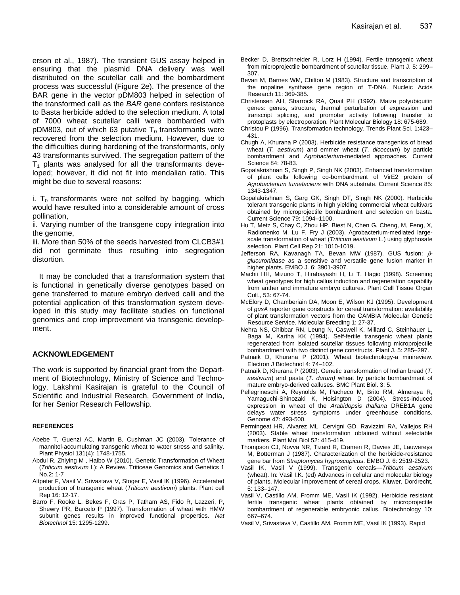erson et al., 1987)*.* The transient GUS assay helped in ensuring that the plasmid DNA delivery was well distributed on the scutellar calli and the bombardment process was successful (Figure 2e). The presence of the BAR gene in the vector pDM803 helped in selection of the transformed calli as the *BAR* gene confers resistance to Basta herbicide added to the selection medium. A total of 7000 wheat scutellar calli were bombarded with pDM803, out of which 63 putative  $T_0$  transformants were recovered from the selection medium. However, due to the difficulties during hardening of the transformants, only 43 transformants survived. The segregation pattern of the  $T_1$  plants was analysed for all the transformants developed; however, it did not fit into mendalian ratio. This might be due to several reasons:

i.  $T_0$  transformants were not selfed by bagging, which would have resulted into a considerable amount of cross pollination,

ii. Varying number of the transgene copy integration into the genome,

iii. More than 50% of the seeds harvested from CLCB3#1 did not germinate thus resulting into segregation distortion.

It may be concluded that a transformation system that is functional in genetically diverse genotypes based on gene transferred to mature embryo derived calli and the potential application of this transformation system developed in this study may facilitate studies on functional genomics and crop improvement via transgenic development.

## **ACKNOWLEDGEMENT**

The work is supported by financial grant from the Department of Biotechnology, Ministry of Science and Technology. Lakshmi Kasirajan is grateful to the Council of Scientific and Industrial Research, Government of India, for her Senior Research Fellowship.

#### **REFERENCES**

- [Abebe](http://www.ncbi.nlm.nih.gov/sites/entrez?Db=pubmed&Cmd=Search&Term=%22Abebe%20T%22%5BAuthor%5D&itool=EntrezSystem2.PEntrez.Pubmed.Pubmed_ResultsPanel.Pubmed_RVAbstractPlus) T, [Guenzi AC,](http://www.ncbi.nlm.nih.gov/sites/entrez?Db=pubmed&Cmd=Search&Term=%22Guenzi%20AC%22%5BAuthor%5D&itool=EntrezSystem2.PEntrez.Pubmed.Pubmed_ResultsPanel.Pubmed_RVAbstractPlus) [Martin](http://www.ncbi.nlm.nih.gov/sites/entrez?Db=pubmed&Cmd=Search&Term=%22Martin%20B%22%5BAuthor%5D&itool=EntrezSystem2.PEntrez.Pubmed.Pubmed_ResultsPanel.Pubmed_RVAbstractPlus) B, [Cushman](http://www.ncbi.nlm.nih.gov/sites/entrez?Db=pubmed&Cmd=Search&Term=%22Cushman%20JC%22%5BAuthor%5D&itool=EntrezSystem2.PEntrez.Pubmed.Pubmed_ResultsPanel.Pubmed_RVAbstractPlus) JC (2003). Tolerance of mannitol-accumulating transgenic wheat to water stress and salinity. [Plant Physiol](javascript:AL_get(this,%20) 131(4): 1748-1755.
- Abdul R, Zhiying M , Haibo W (2010). Genetic Transformation of Wheat (*Triticum aestivum* L): A Review. Triticeae Genomics and Genetics 1 No.2: 1-7
- Altpeter F, Vasil V, Srivastava V, Stoger E, Vasil IK (1996). Accelerated production of transgenic wheat (*Triticum aestivum*) plants. Plant cell Rep 16: 12-17.
- Barro F, Rooke L, Bekes F, Gras P, Tatham AS, Fido R, Lazzeri, P, Shewry PR, Barcelo P (1997). Transformation of wheat with HMW subunit genes results in improved functional properties. *Nat Biotechnol* 15: 1295-1299.
- Becker D, Brettschneider R, Lorz H (1994). Fertile transgenic wheat from microprojectile bombardment of scutellar tissue. Plant J. 5: 299– 307.
- Bevan M, Barnes WM, Chilton M (1983). Structure and transcription of the nopaline synthase gene region of T-DNA. Nucleic Acids Research 11: 369-385.
- Christensen AH, Sharrock RA, Quail PH (1992). Maize polyubiquitin genes: genes, structure, thermal perturbation of expression and transcript splicing, and promoter activity following transfer to protoplasts by electroporation. Plant Molecular Biology 18: 675-689.
- Christou P (1996). Transformation technology. Trends Plant Sci. 1:423– 431.
- Chugh A, Khurana P (2003). Herbicide resistance transgenics of bread wheat (*T. aestivum*) and emmer wheat (*T. dicoccum*) by particle bombardment and *Agrobacterium*-mediated approaches. Current Science 84: 78-83.
- Gopalakrishnan S, Singh P, Singh NK (2003). Enhanced transformation of plant cells following co-bombardment of VirE2 protein of *Agrobacterium tumefaciens* with DNA substrate. Current Science 85: 1343-1347.
- Gopalakrishnan S, Garg GK, Singh DT, Singh NK (2000). Herbicide tolerant transgenic plants in high yielding commercial wheat cultivars obtained by microprojectile bombardment and selection on basta. Current Science 79: 1094–1100.
- Hu T, Metz S, Chay C, Zhou HP, Biest N, Chen G, Cheng, M, Feng, X, Radionenko M, Lu F, Fry J (2003). Agrobacterium-mediated largescale transformation of wheat (*Triticum aestivum* L.) using glyphosate selection. Plant Cell Rep 21: 1010-1019.
- Jefferson RA, Kavanagh TA, Bevan MW (1987). GUS fusion:  $\beta$ *glucuronidase* as a sensitive and versatile gene fusion marker in higher plants. EMBO J*.* 6: 3901-3907.
- Machii HH, Mizuno T, Hirabayashi H, Li T, Hagio (1998). Screening wheat genotypes for high callus induction and regeneration capability from anther and immature embryo cultures. Plant Cell Tissue Organ Cult., 53: 67-74.
- McElory D, Chamberiain DA, Moon E, Wilson KJ (1995). Development of *gusA* reporter gene constructs for cereal transformation: availability of plant transformation vectors from the CAMBIA Molecular Genetic Resource Service. Molecular Breeding 1: 27-37.
- Nehra NS, Chibbar RN, Leung N, Caswell K, Millard C, Steinhauer L, Baga M, Kartha KK (1994). Self-fertile transgenic wheat plants regenerated from isolated scutellar tissues following microprojectile bombardment with two distinct gene constructs. Plant J*.* 5: 285–297.
- Patnaik D, Khurana P (2001). Wheat biotechnology-a minireview. Electron J Biotechnol 4: 74–102.
- Patnaik D, Khurana P (2003). Genetic transformation of Indian bread (*T. aestivum*) and pasta (*T. durum)* wheat by particle bombardment of mature embryo-derived calluses. BMC Plant Biol. 3: 5.
- [Pellegrineschi A,](http://www.ncbi.nlm.nih.gov/sites/entrez?Db=PubMed&Cmd=Search&Term=%22Pellegrineschi%20A%22%5BAuthor%5D&itool=EntrezSystem2.PEntrez.Pubmed.Pubmed_ResultsPanel.Pubmed_RVCitation) [Reynolds M,](http://www.ncbi.nlm.nih.gov/sites/entrez?Db=PubMed&Cmd=Search&Term=%22Reynolds%20M%22%5BAuthor%5D&itool=EntrezSystem2.PEntrez.Pubmed.Pubmed_ResultsPanel.Pubmed_RVCitation) [Pacheco M,](http://www.ncbi.nlm.nih.gov/sites/entrez?Db=PubMed&Cmd=Search&Term=%22Pacheco%20M%22%5BAuthor%5D&itool=EntrezSystem2.PEntrez.Pubmed.Pubmed_ResultsPanel.Pubmed_RVCitation) [Brito](http://www.ncbi.nlm.nih.gov/sites/entrez?Db=PubMed&Cmd=Search&Term=%22Brito%20RM%22%5BAuthor%5D&itool=EntrezSystem2.PEntrez.Pubmed.Pubmed_ResultsPanel.Pubmed_RVCitation) RM, [Almeraya R,](http://www.ncbi.nlm.nih.gov/sites/entrez?Db=PubMed&Cmd=Search&Term=%22Almeraya%20R%22%5BAuthor%5D&itool=EntrezSystem2.PEntrez.Pubmed.Pubmed_ResultsPanel.Pubmed_RVCitation) [Yamaguchi-Shinozaki](http://www.ncbi.nlm.nih.gov/sites/entrez?Db=PubMed&Cmd=Search&Term=%22Yamaguchi-Shinozaki%20K%22%5BAuthor%5D&itool=EntrezSystem2.PEntrez.Pubmed.Pubmed_ResultsPanel.Pubmed_RVCitation) K, [Hoisington D](http://www.ncbi.nlm.nih.gov/sites/entrez?Db=PubMed&Cmd=Search&Term=%22Hoisington%20D%22%5BAuthor%5D&itool=EntrezSystem2.PEntrez.Pubmed.Pubmed_ResultsPanel.Pubmed_RVCitation) (2004). Stress-induced expression in wheat of the *Arabidopsis thaliana* DREB1A gene delays water stress symptoms under greenhouse conditions. Genome 47: 493-500.
- Permingeat HR, Alvarez ML, Cervigni GD, Ravizzini RA, Vallejos RH (2003). Stable wheat transformation obtained without selectable markers*.* Plant Mol Biol 52: 415-419.
- Thompson CJ, Novva NR, Tizard R, Crameri R, Davies JE, Lauwereys M, Botterman J (1987). Characterization of the herbicide-resistance gene bar from *Streptomyces hygroscopicus*. EMBO J. 6: 2519-2523.
- Vasil IK, Vasil V (1999). Transgenic cereals—*Triticum aestivum* (wheat). In: Vasil I.K. (ed) Advances in cellular and molecular biology of plants. Molecular improvement of cereal crops. Kluwer, Dordrecht, 5: 133–147.
- Vasil V, Castillo AM, Fromm ME, Vasil IK (1992). Herbicide resistant fertile transgenic wheat plants obtained by microprojectile bombardment of regenerable embryonic callus. Biotechnology 10: 667–674.
- Vasil V, Srivastava V, Castillo AM, Fromm ME, Vasil IK (1993). Rapid